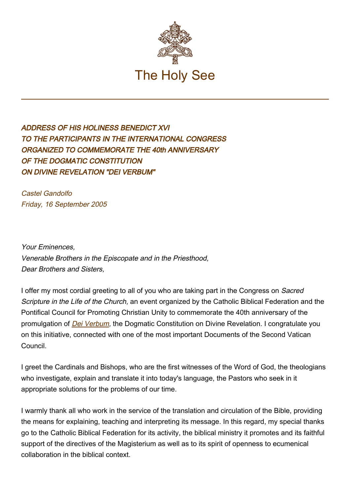

## ADDRESS OF HIS HOLINESS BENEDICT XVI TO THE PARTICIPANTS IN THE INTERNATIONAL CONGRESS ORGANIZED TO COMMEMORATE THE 40th ANNIVERSARY OF THE DOGMATIC CONSTITUTION ON DIVINE REVELATION "DEI VERBUM"

Castel Gandolfo Friday, 16 September 2005

Your Eminences, Venerable Brothers in the Episcopate and in the Priesthood, Dear Brothers and Sisters,

I offer my most cordial greeting to all of you who are taking part in the Congress on Sacred Scripture in the Life of the Church, an event organized by the Catholic Biblical Federation and the Pontifical Council for Promoting Christian Unity to commemorate the 40th anniversary of the promulgation of *[Dei Verbum](http://www.vatican.va/archive/hist_councils/ii_vatican_council/documents/vat-ii_const_19651118_dei-verbum_en.html)*, the Dogmatic Constitution on Divine Revelation. I congratulate you on this initiative, connected with one of the most important Documents of the Second Vatican Council.

I greet the Cardinals and Bishops, who are the first witnesses of the Word of God, the theologians who investigate, explain and translate it into today's language, the Pastors who seek in it appropriate solutions for the problems of our time.

I warmly thank all who work in the service of the translation and circulation of the Bible, providing the means for explaining, teaching and interpreting its message. In this regard, my special thanks go to the Catholic Biblical Federation for its activity, the biblical ministry it promotes and its faithful support of the directives of the Magisterium as well as to its spirit of openness to ecumenical collaboration in the biblical context.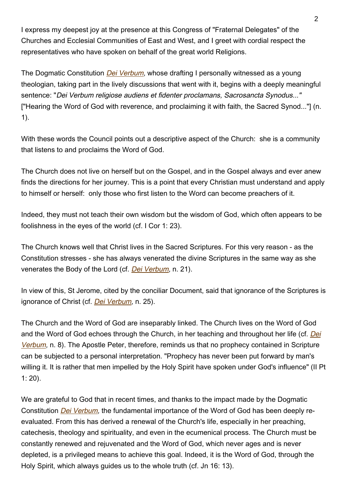I express my deepest joy at the presence at this Congress of "Fraternal Delegates" of the Churches and Ecclesial Communities of East and West, and I greet with cordial respect the representatives who have spoken on behalf of the great world Religions.

The Dogmatic Constitution *[Dei Verbum](http://www.vatican.va/archive/hist_councils/ii_vatican_council/documents/vat-ii_const_19651118_dei-verbum_en.html)*, whose drafting I personally witnessed as a young theologian, taking part in the lively discussions that went with it, begins with a deeply meaningful sentence: "Dei Verbum religiose audiens et fidenter proclamans, Sacrosancta Synodus..." ["Hearing the Word of God with reverence, and proclaiming it with faith, the Sacred Synod..."] (n. 1).

With these words the Council points out a descriptive aspect of the Church: she is a community that listens to and proclaims the Word of God.

The Church does not live on herself but on the Gospel, and in the Gospel always and ever anew finds the directions for her journey. This is a point that every Christian must understand and apply to himself or herself: only those who first listen to the Word can become preachers of it.

Indeed, they must not teach their own wisdom but the wisdom of God, which often appears to be foolishness in the eyes of the world (cf. I Cor 1: 23).

The Church knows well that Christ lives in the Sacred Scriptures. For this very reason - as the Constitution stresses - she has always venerated the divine Scriptures in the same way as she venerates the Body of the Lord (cf. [Dei Verbum](http://www.vatican.va/archive/hist_councils/ii_vatican_council/documents/vat-ii_const_19651118_dei-verbum_en.html), n. 21).

In view of this, St Jerome, cited by the conciliar Document, said that ignorance of the Scriptures is ignorance of Christ (cf. [Dei Verbum](http://www.vatican.va/archive/hist_councils/ii_vatican_council/documents/vat-ii_const_19651118_dei-verbum_en.html), n. 25).

The Church and the Word of God are inseparably linked. The Church lives on the Word of God and the Word of God echoes through the Church, in her teaching and throughout her life (cf. [Dei](http://www.vatican.va/archive/hist_councils/ii_vatican_council/documents/vat-ii_const_19651118_dei-verbum_en.html) [Verbum](http://www.vatican.va/archive/hist_councils/ii_vatican_council/documents/vat-ii_const_19651118_dei-verbum_en.html), n. 8). The Apostle Peter, therefore, reminds us that no prophecy contained in Scripture can be subjected to a personal interpretation. "Prophecy has never been put forward by man's willing it. It is rather that men impelled by the Holy Spirit have spoken under God's influence" (II Pt 1: 20).

We are grateful to God that in recent times, and thanks to the impact made by the Dogmatic Constitution [Dei Verbum](http://www.vatican.va/archive/hist_councils/ii_vatican_council/documents/vat-ii_const_19651118_dei-verbum_en.html), the fundamental importance of the Word of God has been deeply reevaluated. From this has derived a renewal of the Church's life, especially in her preaching, catechesis, theology and spirituality, and even in the ecumenical process. The Church must be constantly renewed and rejuvenated and the Word of God, which never ages and is never depleted, is a privileged means to achieve this goal. Indeed, it is the Word of God, through the Holy Spirit, which always guides us to the whole truth (cf. Jn 16: 13).